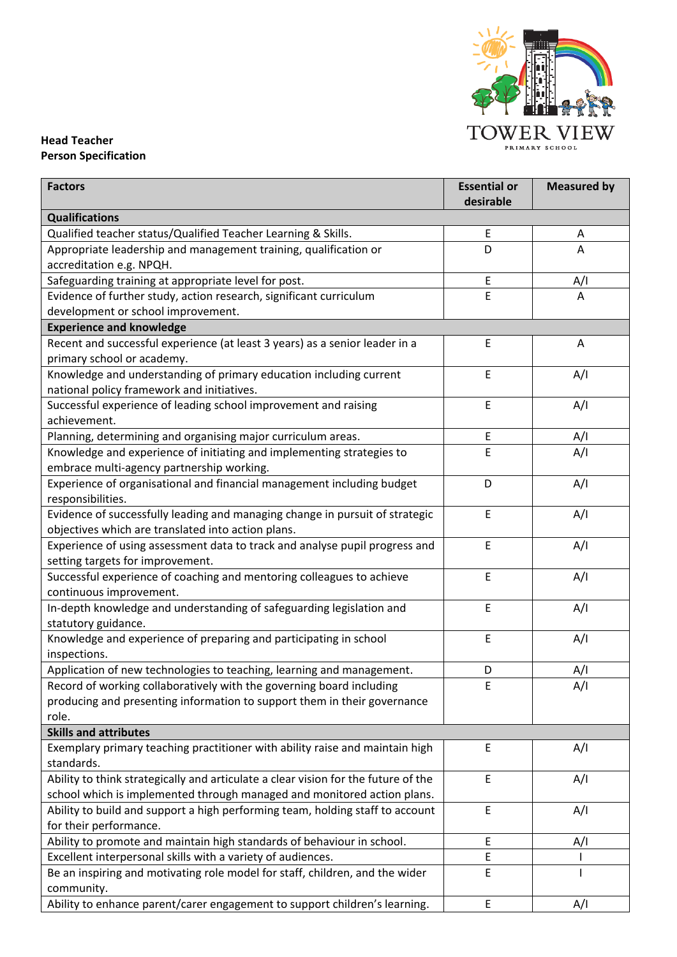

## **Head Teacher Person Specification**

| <b>Factors</b>                                                                             | <b>Essential or</b><br>desirable | <b>Measured by</b> |  |
|--------------------------------------------------------------------------------------------|----------------------------------|--------------------|--|
| <b>Qualifications</b>                                                                      |                                  |                    |  |
| Qualified teacher status/Qualified Teacher Learning & Skills.                              | Ε                                | A                  |  |
| Appropriate leadership and management training, qualification or                           | D                                | Α                  |  |
| accreditation e.g. NPQH.                                                                   |                                  |                    |  |
| Safeguarding training at appropriate level for post.                                       | E                                | A/I                |  |
| Evidence of further study, action research, significant curriculum                         | E                                | Α                  |  |
| development or school improvement.                                                         |                                  |                    |  |
| <b>Experience and knowledge</b>                                                            |                                  |                    |  |
| Recent and successful experience (at least 3 years) as a senior leader in a                | E                                | Α                  |  |
| primary school or academy.                                                                 |                                  |                    |  |
| Knowledge and understanding of primary education including current                         | E                                | A/I                |  |
| national policy framework and initiatives.                                                 |                                  |                    |  |
| Successful experience of leading school improvement and raising                            | E                                | A/I                |  |
| achievement.                                                                               |                                  |                    |  |
| Planning, determining and organising major curriculum areas.                               | E                                | A/I                |  |
| Knowledge and experience of initiating and implementing strategies to                      | E                                | A/I                |  |
| embrace multi-agency partnership working.                                                  |                                  |                    |  |
| Experience of organisational and financial management including budget                     | D                                | A/I                |  |
| responsibilities.                                                                          |                                  |                    |  |
| Evidence of successfully leading and managing change in pursuit of strategic               | E                                | A/I                |  |
| objectives which are translated into action plans.                                         |                                  |                    |  |
| Experience of using assessment data to track and analyse pupil progress and                | E                                | A/I                |  |
| setting targets for improvement.                                                           |                                  |                    |  |
| Successful experience of coaching and mentoring colleagues to achieve                      | E                                | A/I                |  |
| continuous improvement.                                                                    |                                  |                    |  |
| In-depth knowledge and understanding of safeguarding legislation and                       | E                                | A/I                |  |
| statutory guidance.                                                                        |                                  |                    |  |
| Knowledge and experience of preparing and participating in school                          | E                                | A/I                |  |
| inspections.                                                                               |                                  |                    |  |
| Application of new technologies to teaching, learning and management.                      | D                                | A/I                |  |
| Record of working collaboratively with the governing board including                       | E                                | A/I                |  |
| producing and presenting information to support them in their governance                   |                                  |                    |  |
| role.                                                                                      |                                  |                    |  |
| <b>Skills and attributes</b>                                                               |                                  |                    |  |
| Exemplary primary teaching practitioner with ability raise and maintain high<br>standards. | E                                | A/I                |  |
| Ability to think strategically and articulate a clear vision for the future of the         | E                                | A/I                |  |
| school which is implemented through managed and monitored action plans.                    |                                  |                    |  |
| Ability to build and support a high performing team, holding staff to account              | E                                | A/I                |  |
| for their performance.                                                                     |                                  |                    |  |
| Ability to promote and maintain high standards of behaviour in school.                     | Ε                                | A/I                |  |
| Excellent interpersonal skills with a variety of audiences.                                | E                                |                    |  |
| Be an inspiring and motivating role model for staff, children, and the wider               | E                                |                    |  |
| community.                                                                                 |                                  |                    |  |
| Ability to enhance parent/carer engagement to support children's learning.                 | Ε                                | A/I                |  |